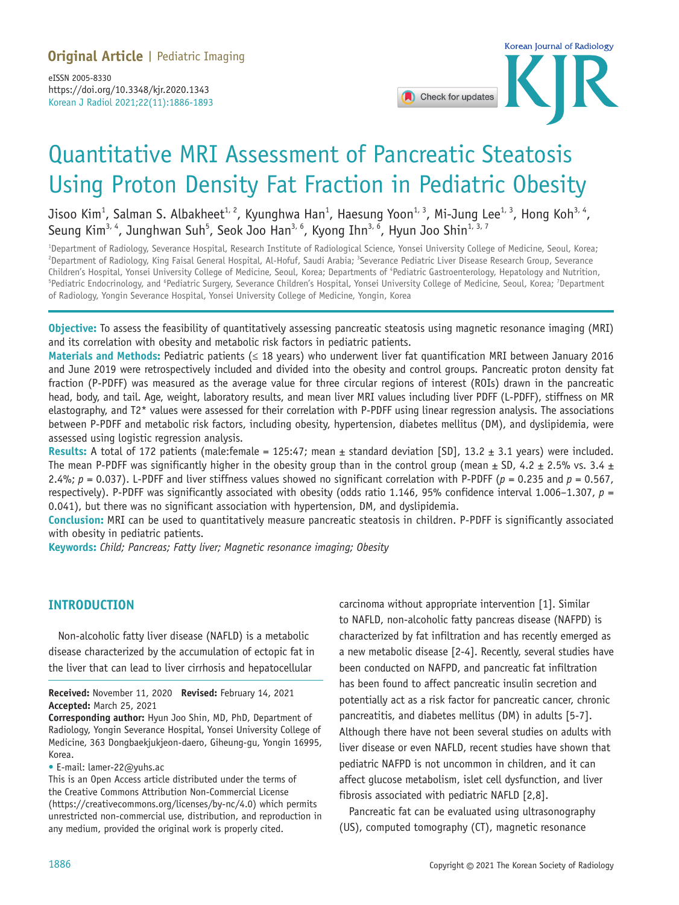

# Quantitative MRI Assessment of Pancreatic Steatosis Using Proton Density Fat Fraction in Pediatric Obesity

Jisoo Kim<sup>1</sup>, Salman S. Albakheet<sup>1, 2</sup>, Kyunghwa Han<sup>1</sup>, Haesung Yoon<sup>1, 3</sup>, Mi-Jung Lee<sup>1, 3</sup>, Hong Koh<sup>3, 4</sup>, Seung Kim<sup>3, 4</sup>, Junghwan Suh<sup>5</sup>, Seok Joo Han<sup>3, 6</sup>, Kyong Ihn<sup>3, 6</sup>, Hyun Joo Shin<sup>1, 3, 7</sup>

1 Department of Radiology, Severance Hospital, Research Institute of Radiological Science, Yonsei University College of Medicine, Seoul, Korea; <sup>2</sup>Department of Radiology, King Faisal General Hospital, Al-Hofuf, Saudi Arabia; <sup>3</sup>Severance Pediatric Liver Disease Research Group, Severance Children's Hospital, Yonsei University College of Medicine, Seoul, Korea; Departments of "Pediatric Gastroenterology, Hepatology and Nutrition,<br><sup>5</sup>Pediatric Endocripology, and <sup>6</sup>Pediatric Surgeny, Severance Children's Hos Pediatric Endocrinology, and <sup>6</sup>Pediatric Surgery, Severance Children's Hospital, Yonsei University College of Medicine, Seoul, Korea; <sup>7</sup>Department of Radiology, Yongin Severance Hospital, Yonsei University College of Medicine, Yongin, Korea

**Objective:** To assess the feasibility of quantitatively assessing pancreatic steatosis using magnetic resonance imaging (MRI) and its correlation with obesity and metabolic risk factors in pediatric patients.

**Materials and Methods:** Pediatric patients (≤ 18 years) who underwent liver fat quantification MRI between January 2016 and June 2019 were retrospectively included and divided into the obesity and control groups. Pancreatic proton density fat fraction (P-PDFF) was measured as the average value for three circular regions of interest (ROIs) drawn in the pancreatic head, body, and tail. Age, weight, laboratory results, and mean liver MRI values including liver PDFF (L-PDFF), stiffness on MR elastography, and T2\* values were assessed for their correlation with P-PDFF using linear regression analysis. The associations between P-PDFF and metabolic risk factors, including obesity, hypertension, diabetes mellitus (DM), and dyslipidemia, were assessed using logistic regression analysis.

**Results:** A total of 172 patients (male:female = 125:47; mean  $\pm$  standard deviation [SD], 13.2  $\pm$  3.1 years) were included. The mean P-PDFF was significantly higher in the obesity group than in the control group (mean  $\pm$  SD, 4.2  $\pm$  2.5% vs. 3.4  $\pm$ 2.4%; *p* = 0.037). L-PDFF and liver stiffness values showed no significant correlation with P-PDFF (*p* = 0.235 and *p* = 0.567, respectively). P-PDFF was significantly associated with obesity (odds ratio 1.146, 95% confidence interval 1.006–1.307, *p* = 0.041), but there was no significant association with hypertension, DM, and dyslipidemia.

**Conclusion:** MRI can be used to quantitatively measure pancreatic steatosis in children. P-PDFF is significantly associated with obesity in pediatric patients.

**Keywords:** *Child; Pancreas; Fatty liver; Magnetic resonance imaging; Obesity*

# **INTRODUCTION**

Non-alcoholic fatty liver disease (NAFLD) is a metabolic disease characterized by the accumulation of ectopic fat in the liver that can lead to liver cirrhosis and hepatocellular

**Received:** November 11, 2020 **Revised:** February 14, 2021 **Accepted:** March 25, 2021

**Corresponding author:** Hyun Joo Shin, MD, PhD, Department of Radiology, Yongin Severance Hospital, Yonsei University College of Medicine, 363 Dongbaekjukjeon-daero, Giheung-gu, Yongin 16995, Korea.

• E-mail: lamer-22@yuhs.ac

This is an Open Access article distributed under the terms of the Creative Commons Attribution Non-Commercial License (https://creativecommons.org/licenses/by-nc/4.0) which permits unrestricted non-commercial use, distribution, and reproduction in any medium, provided the original work is properly cited.

carcinoma without appropriate intervention [1]. Similar to NAFLD, non-alcoholic fatty pancreas disease (NAFPD) is characterized by fat infiltration and has recently emerged as a new metabolic disease [2-4]. Recently, several studies have been conducted on NAFPD, and pancreatic fat infiltration has been found to affect pancreatic insulin secretion and potentially act as a risk factor for pancreatic cancer, chronic pancreatitis, and diabetes mellitus (DM) in adults [5-7]. Although there have not been several studies on adults with liver disease or even NAFLD, recent studies have shown that pediatric NAFPD is not uncommon in children, and it can affect glucose metabolism, islet cell dysfunction, and liver fibrosis associated with pediatric NAFLD [2,8].

Pancreatic fat can be evaluated using ultrasonography (US), computed tomography (CT), magnetic resonance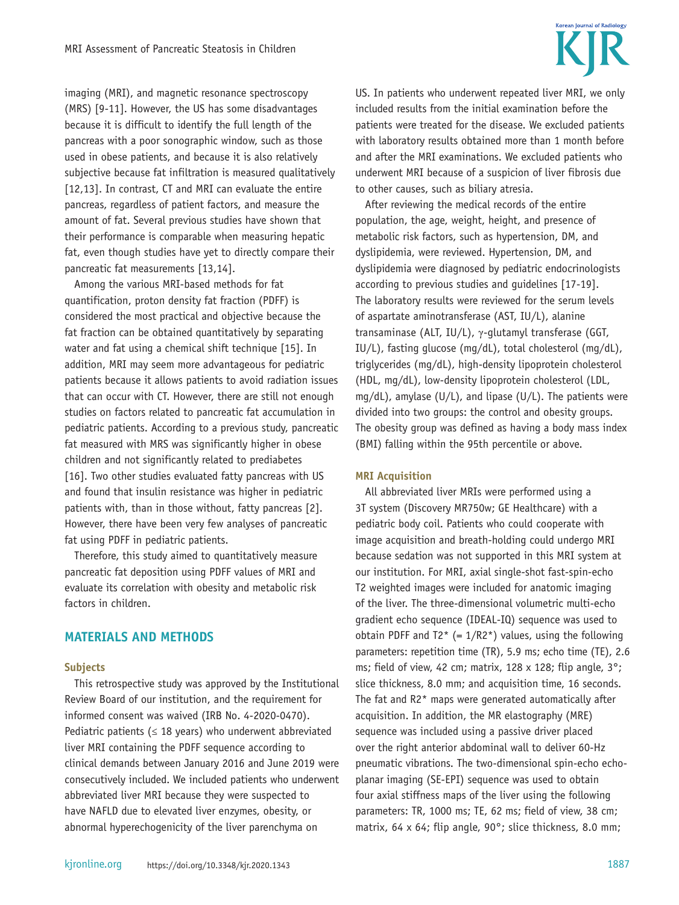**Korean Journal of Radiolom** 

imaging (MRI), and magnetic resonance spectroscopy (MRS) [9-11]. However, the US has some disadvantages because it is difficult to identify the full length of the pancreas with a poor sonographic window, such as those used in obese patients, and because it is also relatively subjective because fat infiltration is measured qualitatively [12,13]. In contrast, CT and MRI can evaluate the entire pancreas, regardless of patient factors, and measure the amount of fat. Several previous studies have shown that their performance is comparable when measuring hepatic fat, even though studies have yet to directly compare their pancreatic fat measurements [13,14].

Among the various MRI-based methods for fat quantification, proton density fat fraction (PDFF) is considered the most practical and objective because the fat fraction can be obtained quantitatively by separating water and fat using a chemical shift technique [15]. In addition, MRI may seem more advantageous for pediatric patients because it allows patients to avoid radiation issues that can occur with CT. However, there are still not enough studies on factors related to pancreatic fat accumulation in pediatric patients. According to a previous study, pancreatic fat measured with MRS was significantly higher in obese children and not significantly related to prediabetes [16]. Two other studies evaluated fatty pancreas with US and found that insulin resistance was higher in pediatric patients with, than in those without, fatty pancreas [2]. However, there have been very few analyses of pancreatic fat using PDFF in pediatric patients.

Therefore, this study aimed to quantitatively measure pancreatic fat deposition using PDFF values of MRI and evaluate its correlation with obesity and metabolic risk factors in children.

# **MATERIALS AND METHODS**

#### **Subjects**

This retrospective study was approved by the Institutional Review Board of our institution, and the requirement for informed consent was waived (IRB No. 4-2020-0470). Pediatric patients ( $\leq$  18 years) who underwent abbreviated liver MRI containing the PDFF sequence according to clinical demands between January 2016 and June 2019 were consecutively included. We included patients who underwent abbreviated liver MRI because they were suspected to have NAFLD due to elevated liver enzymes, obesity, or abnormal hyperechogenicity of the liver parenchyma on

US. In patients who underwent repeated liver MRI, we only included results from the initial examination before the patients were treated for the disease. We excluded patients with laboratory results obtained more than 1 month before and after the MRI examinations. We excluded patients who underwent MRI because of a suspicion of liver fibrosis due to other causes, such as biliary atresia.

After reviewing the medical records of the entire population, the age, weight, height, and presence of metabolic risk factors, such as hypertension, DM, and dyslipidemia, were reviewed. Hypertension, DM, and dyslipidemia were diagnosed by pediatric endocrinologists according to previous studies and guidelines [17-19]. The laboratory results were reviewed for the serum levels of aspartate aminotransferase (AST, IU/L), alanine transaminase (ALT, IU/L), γ-glutamyl transferase (GGT, IU/L), fasting glucose (mg/dL), total cholesterol (mg/dL), triglycerides (mg/dL), high-density lipoprotein cholesterol (HDL, mg/dL), low-density lipoprotein cholesterol (LDL, mg/dL), amylase (U/L), and lipase (U/L). The patients were divided into two groups: the control and obesity groups. The obesity group was defined as having a body mass index (BMI) falling within the 95th percentile or above.

#### **MRI Acquisition**

All abbreviated liver MRIs were performed using a 3T system (Discovery MR750w; GE Healthcare) with a pediatric body coil. Patients who could cooperate with image acquisition and breath-holding could undergo MRI because sedation was not supported in this MRI system at our institution. For MRI, axial single-shot fast-spin-echo T2 weighted images were included for anatomic imaging of the liver. The three-dimensional volumetric multi-echo gradient echo sequence (IDEAL-IQ) sequence was used to obtain PDFF and  $T2^*$  (=  $1/R2^*$ ) values, using the following parameters: repetition time (TR), 5.9 ms; echo time (TE), 2.6 ms; field of view, 42 cm; matrix, 128 x 128; flip angle, 3°; slice thickness, 8.0 mm; and acquisition time, 16 seconds. The fat and R2\* maps were generated automatically after acquisition. In addition, the MR elastography (MRE) sequence was included using a passive driver placed over the right anterior abdominal wall to deliver 60-Hz pneumatic vibrations. The two-dimensional spin-echo echoplanar imaging (SE-EPI) sequence was used to obtain four axial stiffness maps of the liver using the following parameters: TR, 1000 ms; TE, 62 ms; field of view, 38 cm; matrix, 64 x 64; flip angle, 90°; slice thickness, 8.0 mm;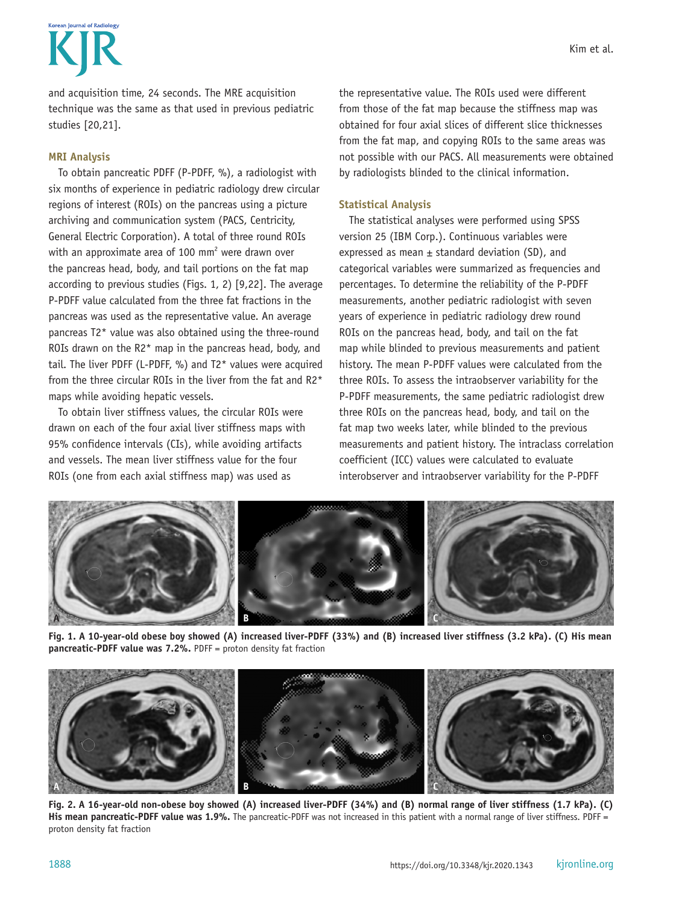**Korean Journal of Radiolom** 

and acquisition time, 24 seconds. The MRE acquisition technique was the same as that used in previous pediatric studies [20,21].

# **MRI Analysis**

To obtain pancreatic PDFF (P-PDFF, %), a radiologist with six months of experience in pediatric radiology drew circular regions of interest (ROIs) on the pancreas using a picture archiving and communication system (PACS, Centricity, General Electric Corporation). A total of three round ROIs with an approximate area of 100 mm<sup>2</sup> were drawn over the pancreas head, body, and tail portions on the fat map according to previous studies (Figs. 1, 2) [9,22]. The average P-PDFF value calculated from the three fat fractions in the pancreas was used as the representative value. An average pancreas T2\* value was also obtained using the three-round ROIs drawn on the R2\* map in the pancreas head, body, and tail. The liver PDFF (L-PDFF, %) and T2\* values were acquired from the three circular ROIs in the liver from the fat and R2\* maps while avoiding hepatic vessels.

To obtain liver stiffness values, the circular ROIs were drawn on each of the four axial liver stiffness maps with 95% confidence intervals (CIs), while avoiding artifacts and vessels. The mean liver stiffness value for the four ROIs (one from each axial stiffness map) was used as

the representative value. The ROIs used were different from those of the fat map because the stiffness map was obtained for four axial slices of different slice thicknesses from the fat map, and copying ROIs to the same areas was not possible with our PACS. All measurements were obtained by radiologists blinded to the clinical information.

# **Statistical Analysis**

The statistical analyses were performed using SPSS version 25 (IBM Corp.). Continuous variables were expressed as mean  $\pm$  standard deviation (SD), and categorical variables were summarized as frequencies and percentages. To determine the reliability of the P-PDFF measurements, another pediatric radiologist with seven years of experience in pediatric radiology drew round ROIs on the pancreas head, body, and tail on the fat map while blinded to previous measurements and patient history. The mean P-PDFF values were calculated from the three ROIs. To assess the intraobserver variability for the P-PDFF measurements, the same pediatric radiologist drew three ROIs on the pancreas head, body, and tail on the fat map two weeks later, while blinded to the previous measurements and patient history. The intraclass correlation coefficient (ICC) values were calculated to evaluate interobserver and intraobserver variability for the P-PDFF



**Fig. 1. A 10-year-old obese boy showed (A) increased liver-PDFF (33%) and (B) increased liver stiffness (3.2 kPa). (C) His mean pancreatic-PDFF value was 7.2%.** PDFF = proton density fat fraction



**Fig. 2. A 16-year-old non-obese boy showed (A) increased liver-PDFF (34%) and (B) normal range of liver stiffness (1.7 kPa). (C) His mean pancreatic-PDFF value was 1.9%.** The pancreatic-PDFF was not increased in this patient with a normal range of liver stiffness. PDFF = proton density fat fraction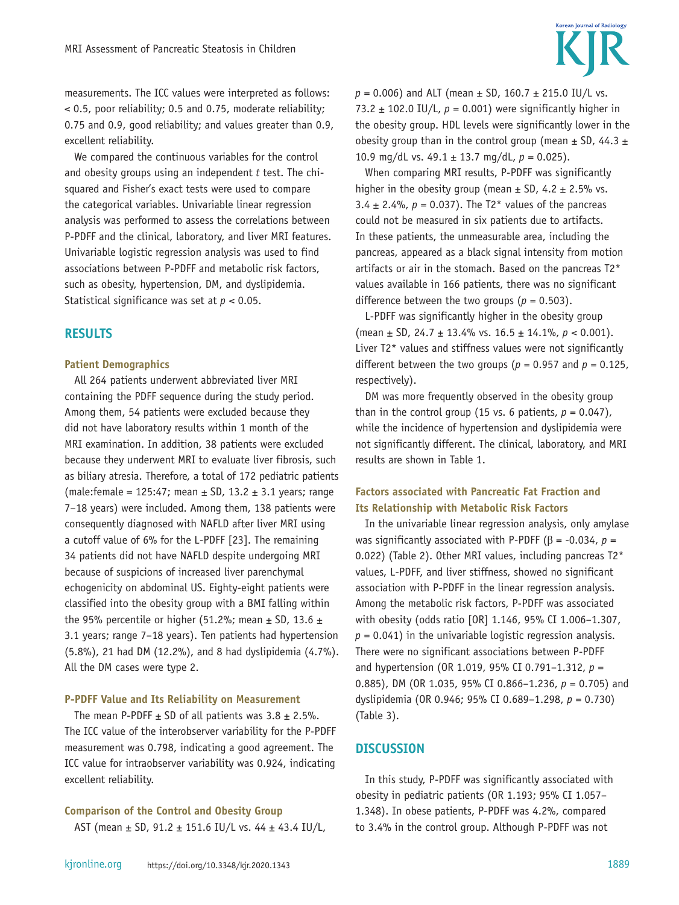

measurements. The ICC values were interpreted as follows: < 0.5, poor reliability; 0.5 and 0.75, moderate reliability; 0.75 and 0.9, good reliability; and values greater than 0.9, excellent reliability.

We compared the continuous variables for the control and obesity groups using an independent *t* test. The chisquared and Fisher's exact tests were used to compare the categorical variables. Univariable linear regression analysis was performed to assess the correlations between P-PDFF and the clinical, laboratory, and liver MRI features. Univariable logistic regression analysis was used to find associations between P-PDFF and metabolic risk factors, such as obesity, hypertension, DM, and dyslipidemia. Statistical significance was set at *p* < 0.05.

### **RESULTS**

#### **Patient Demographics**

All 264 patients underwent abbreviated liver MRI containing the PDFF sequence during the study period. Among them, 54 patients were excluded because they did not have laboratory results within 1 month of the MRI examination. In addition, 38 patients were excluded because they underwent MRI to evaluate liver fibrosis, such as biliary atresia. Therefore, a total of 172 pediatric patients (male:female = 125:47; mean  $\pm$  SD, 13.2  $\pm$  3.1 years; range 7–18 years) were included. Among them, 138 patients were consequently diagnosed with NAFLD after liver MRI using a cutoff value of 6% for the L-PDFF [23]. The remaining 34 patients did not have NAFLD despite undergoing MRI because of suspicions of increased liver parenchymal echogenicity on abdominal US. Eighty-eight patients were classified into the obesity group with a BMI falling within the 95% percentile or higher (51.2%; mean  $\pm$  SD, 13.6  $\pm$ 3.1 years; range 7–18 years). Ten patients had hypertension (5.8%), 21 had DM (12.2%), and 8 had dyslipidemia (4.7%). All the DM cases were type 2.

#### **P-PDFF Value and Its Reliability on Measurement**

The mean P-PDFF  $\pm$  SD of all patients was 3.8  $\pm$  2.5%. The ICC value of the interobserver variability for the P-PDFF measurement was 0.798, indicating a good agreement. The ICC value for intraobserver variability was 0.924, indicating excellent reliability.

**Comparison of the Control and Obesity Group** AST (mean ± SD, 91.2 ± 151.6 IU/L vs. 44 ± 43.4 IU/L,  $p = 0.006$ ) and ALT (mean  $\pm$  SD, 160.7  $\pm$  215.0 IU/L vs. 73.2  $\pm$  102.0 IU/L,  $p = 0.001$ ) were significantly higher in the obesity group. HDL levels were significantly lower in the obesity group than in the control group (mean  $\pm$  SD, 44.3  $\pm$ 10.9 mg/dL vs.  $49.1 \pm 13.7$  mg/dL,  $p = 0.025$ ).

When comparing MRI results, P-PDFF was significantly higher in the obesity group (mean  $\pm$  SD, 4.2  $\pm$  2.5% vs. 3.4  $\pm$  2.4%,  $p = 0.037$ ). The T2\* values of the pancreas could not be measured in six patients due to artifacts. In these patients, the unmeasurable area, including the pancreas, appeared as a black signal intensity from motion artifacts or air in the stomach. Based on the pancreas T2\* values available in 166 patients, there was no significant difference between the two groups ( $p = 0.503$ ).

L-PDFF was significantly higher in the obesity group (mean ± SD, 24.7 ± 13.4% vs. 16.5 ± 14.1%, *p* < 0.001). Liver T2\* values and stiffness values were not significantly different between the two groups ( $p = 0.957$  and  $p = 0.125$ , respectively).

DM was more frequently observed in the obesity group than in the control group (15 vs. 6 patients,  $p = 0.047$ ), while the incidence of hypertension and dyslipidemia were not significantly different. The clinical, laboratory, and MRI results are shown in Table 1.

# **Factors associated with Pancreatic Fat Fraction and Its Relationship with Metabolic Risk Factors**

In the univariable linear regression analysis, only amylase was significantly associated with P-PDFF ( $\beta$  = -0.034,  $p$  = 0.022) (Table 2). Other MRI values, including pancreas T2\* values, L-PDFF, and liver stiffness, showed no significant association with P-PDFF in the linear regression analysis. Among the metabolic risk factors, P-PDFF was associated with obesity (odds ratio [OR] 1.146, 95% CI 1.006–1.307,  $p = 0.041$ ) in the univariable logistic regression analysis. There were no significant associations between P-PDFF and hypertension (OR 1.019, 95% CI 0.791–1.312, *p* = 0.885), DM (OR 1.035, 95% CI 0.866–1.236, *p* = 0.705) and dyslipidemia (OR 0.946; 95% CI 0.689–1.298, *p* = 0.730) (Table 3).

#### **DISCUSSION**

In this study, P-PDFF was significantly associated with obesity in pediatric patients (OR 1.193; 95% CI 1.057– 1.348). In obese patients, P-PDFF was 4.2%, compared to 3.4% in the control group. Although P-PDFF was not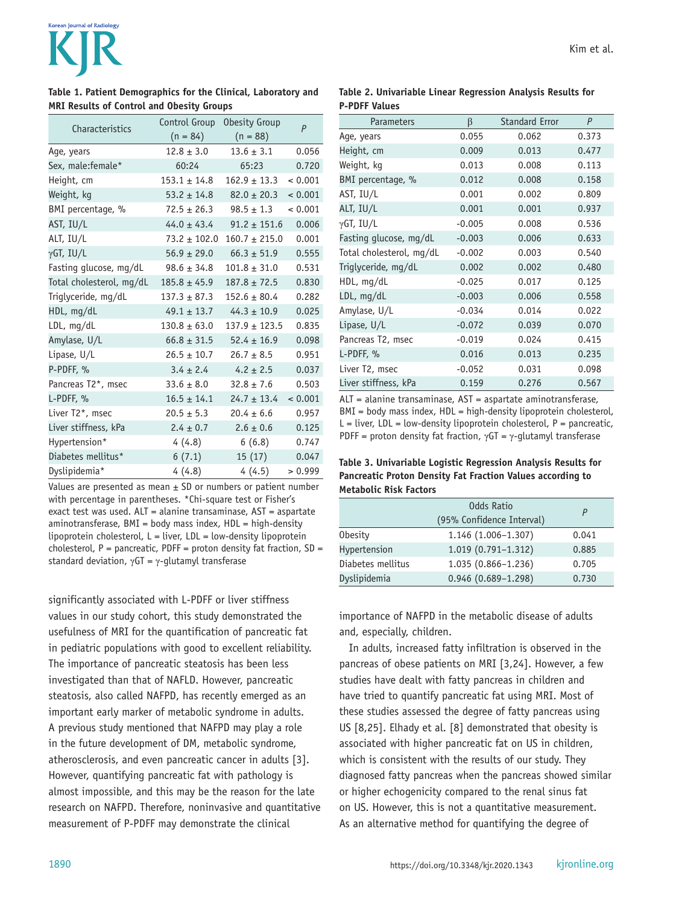# Korean Journal of Radiology

#### **Table 1. Patient Demographics for the Clinical, Laboratory and MRI Results of Control and Obesity Groups**

| Characteristics          | Control Group    | Obesity Group     | $\overline{P}$ |  |  |  |
|--------------------------|------------------|-------------------|----------------|--|--|--|
|                          | $(n = 84)$       | $(n = 88)$        |                |  |  |  |
| Age, years               | $12.8 \pm 3.0$   | $13.6 \pm 3.1$    | 0.056          |  |  |  |
| Sex, male:female*        | 60:24            | 65:23             | 0.720          |  |  |  |
| Height, cm               | $153.1 \pm 14.8$ | $162.9 \pm 13.3$  | < 0.001        |  |  |  |
| Weight, kg               | $53.2 \pm 14.8$  | $82.0 \pm 20.3$   | < 0.001        |  |  |  |
| BMI percentage, %        | $72.5 \pm 26.3$  | $98.5 \pm 1.3$    | < 0.001        |  |  |  |
| AST, IU/L                | $44.0 \pm 43.4$  | $91.2 \pm 151.6$  | 0.006          |  |  |  |
| ALT, IU/L                | $73.2 \pm 102.0$ | $160.7 \pm 215.0$ | 0.001          |  |  |  |
| γGT, IU/L                | $56.9 \pm 29.0$  | $66.3 \pm 51.9$   | 0.555          |  |  |  |
| Fasting glucose, mg/dL   | $98.6 \pm 34.8$  | $101.8 \pm 31.0$  | 0.531          |  |  |  |
| Total cholesterol, mg/dL | $185.8 \pm 45.9$ | $187.8 \pm 72.5$  | 0.830          |  |  |  |
| Triglyceride, mg/dL      | $137.3 \pm 87.3$ | $152.6 \pm 80.4$  | 0.282          |  |  |  |
| HDL, mg/dL               | $49.1 \pm 13.7$  | $44.3 \pm 10.9$   | 0.025          |  |  |  |
| LDL, mg/dL               | $130.8 \pm 63.0$ | $137.9 \pm 123.5$ | 0.835          |  |  |  |
| Amylase, U/L             | $66.8 \pm 31.5$  | $52.4 \pm 16.9$   | 0.098          |  |  |  |
| Lipase, U/L              | $26.5 \pm 10.7$  | $26.7 \pm 8.5$    | 0.951          |  |  |  |
| P-PDFF, %                | $3.4 \pm 2.4$    | $4.2 \pm 2.5$     | 0.037          |  |  |  |
| Pancreas T2*, msec       | $33.6 \pm 8.0$   | $32.8 \pm 7.6$    | 0.503          |  |  |  |
| L-PDFF, %                | $16.5 \pm 14.1$  | $24.7 \pm 13.4$   | < 0.001        |  |  |  |
| Liver T2*, msec          | $20.5 \pm 5.3$   | $20.4 \pm 6.6$    | 0.957          |  |  |  |
| Liver stiffness, kPa     | $2.4 \pm 0.7$    | $2.6 \pm 0.6$     | 0.125          |  |  |  |
| Hypertension*            | 4(4.8)           | 6(6.8)            | 0.747          |  |  |  |
| Diabetes mellitus*       | 6(7.1)           | 15(17)            | 0.047          |  |  |  |
| Dyslipidemia*            | 4(4.8)           | 4(4.5)            | > 0.999        |  |  |  |

Values are presented as mean  $\pm$  SD or numbers or patient number with percentage in parentheses. \*Chi-square test or Fisher's exact test was used. ALT = alanine transaminase, AST = aspartate aminotransferase, BMI = body mass index, HDL = high-density lipoprotein cholesterol,  $L =$  liver,  $LDL =$  low-density lipoprotein cholesterol,  $P =$  pancreatic, PDFF = proton density fat fraction,  $SD =$ standard deviation,  $\gamma$ GT =  $\gamma$ -glutamyl transferase

significantly associated with L-PDFF or liver stiffness values in our study cohort, this study demonstrated the usefulness of MRI for the quantification of pancreatic fat in pediatric populations with good to excellent reliability. The importance of pancreatic steatosis has been less investigated than that of NAFLD. However, pancreatic steatosis, also called NAFPD, has recently emerged as an important early marker of metabolic syndrome in adults. A previous study mentioned that NAFPD may play a role in the future development of DM, metabolic syndrome, atherosclerosis, and even pancreatic cancer in adults [3]. However, quantifying pancreatic fat with pathology is almost impossible, and this may be the reason for the late research on NAFPD. Therefore, noninvasive and quantitative measurement of P-PDFF may demonstrate the clinical

| Table 2. Univariable Linear Regression Analysis Results for |  |  |  |
|-------------------------------------------------------------|--|--|--|
| <b>P-PDFF Values</b>                                        |  |  |  |

| Parameters               | ß        | <b>Standard Error</b> | P     |
|--------------------------|----------|-----------------------|-------|
| Age, years               | 0.055    | 0.062                 | 0.373 |
| Height, cm               | 0.009    | 0.013                 | 0.477 |
| Weight, kg               | 0.013    | 0.008                 | 0.113 |
| BMI percentage, %        | 0.012    | 0.008                 | 0.158 |
| AST, IU/L                | 0.001    | 0.002                 | 0.809 |
| ALT, IU/L                | 0.001    | 0.001                 | 0.937 |
| $\gamma$ GT, IU/L        | $-0.005$ | 0.008                 | 0.536 |
| Fasting glucose, mg/dL   | $-0.003$ | 0.006                 | 0.633 |
| Total cholesterol, mg/dL | $-0.002$ | 0.003                 | 0.540 |
| Triglyceride, mg/dL      | 0.002    | 0.002                 | 0.480 |
| HDL, mq/dL               | $-0.025$ | 0.017                 | 0.125 |
| LDL, mq/dL               | $-0.003$ | 0.006                 | 0.558 |
| Amylase, U/L             | $-0.034$ | 0.014                 | 0.022 |
| Lipase, U/L              | $-0.072$ | 0.039                 | 0.070 |
| Pancreas T2, msec        | $-0.019$ | 0.024                 | 0.415 |
| L-PDFF, %                | 0.016    | 0.013                 | 0.235 |
| Liver T2, msec           | $-0.052$ | 0.031                 | 0.098 |
| Liver stiffness, kPa     | 0.159    | 0.276                 | 0.567 |

ALT = alanine transaminase, AST = aspartate aminotransferase, BMI = body mass index, HDL = high-density lipoprotein cholesterol,  $L =$  liver,  $LDL =$  low-density lipoprotein cholesterol,  $P =$  pancreatic, PDFF = proton density fat fraction,  $\gamma$ GT =  $\gamma$ -glutamyl transferase

#### **Table 3. Univariable Logistic Regression Analysis Results for Pancreatic Proton Density Fat Fraction Values according to Metabolic Risk Factors**

|                   | Odds Ratio<br>(95% Confidence Interval) |       |
|-------------------|-----------------------------------------|-------|
| <b>Obesity</b>    | $1.146(1.006 - 1.307)$                  | 0.041 |
| Hypertension      | 1.019 (0.791-1.312)                     | 0.885 |
| Diabetes mellitus | 1.035 (0.866-1.236)                     | 0.705 |
| Dyslipidemia      | $0.946(0.689 - 1.298)$                  | 0.730 |

importance of NAFPD in the metabolic disease of adults and, especially, children.

In adults, increased fatty infiltration is observed in the pancreas of obese patients on MRI [3,24]. However, a few studies have dealt with fatty pancreas in children and have tried to quantify pancreatic fat using MRI. Most of these studies assessed the degree of fatty pancreas using US [8,25]. Elhady et al. [8] demonstrated that obesity is associated with higher pancreatic fat on US in children, which is consistent with the results of our study. They diagnosed fatty pancreas when the pancreas showed similar or higher echogenicity compared to the renal sinus fat on US. However, this is not a quantitative measurement. As an alternative method for quantifying the degree of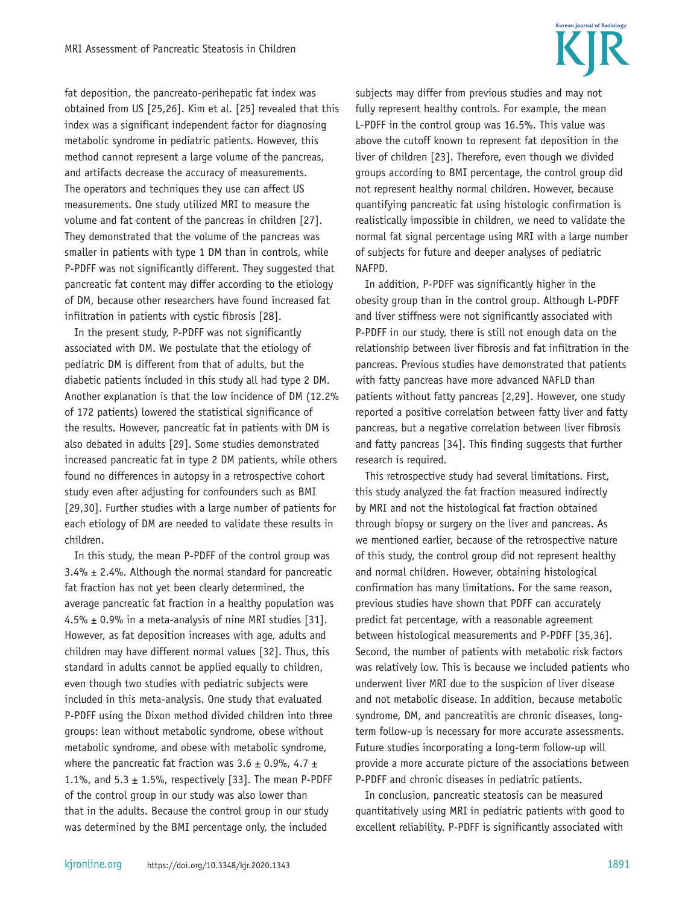

fat deposition, the pancreato-perihepatic fat index was obtained from US [25,26]. Kim et al. [25] revealed that this index was a significant independent factor for diagnosing metabolic syndrome in pediatric patients. However, this method cannot represent a large volume of the pancreas, and artifacts decrease the accuracy of measurements. The operators and techniques they use can affect US measurements. One study utilized MRI to measure the volume and fat content of the pancreas in children [27]. They demonstrated that the volume of the pancreas was smaller in patients with type 1 DM than in controls, while P-PDFF was not significantly different. They suggested that pancreatic fat content may differ according to the etiology of DM, because other researchers have found increased fat infiltration in patients with cystic fibrosis [28].

In the present study, P-PDFF was not significantly associated with DM. We postulate that the etiology of pediatric DM is different from that of adults, but the diabetic patients included in this study all had type 2 DM. Another explanation is that the low incidence of DM (12.2% of 172 patients) lowered the statistical significance of the results. However, pancreatic fat in patients with DM is also debated in adults [29]. Some studies demonstrated increased pancreatic fat in type 2 DM patients, while others found no differences in autopsy in a retrospective cohort study even after adjusting for confounders such as BMI [29,30]. Further studies with a large number of patients for each etiology of DM are needed to validate these results in children.

In this study, the mean P-PDFF of the control group was  $3.4\% \pm 2.4\%$ . Although the normal standard for pancreatic fat fraction has not yet been clearly determined, the average pancreatic fat fraction in a healthy population was 4.5%  $\pm$  0.9% in a meta-analysis of nine MRI studies [31]. However, as fat deposition increases with age, adults and children may have different normal values [32]. Thus, this standard in adults cannot be applied equally to children, even though two studies with pediatric subjects were included in this meta-analysis. One study that evaluated P-PDFF using the Dixon method divided children into three groups: lean without metabolic syndrome, obese without metabolic syndrome, and obese with metabolic syndrome, where the pancreatic fat fraction was  $3.6 \pm 0.9$ %,  $4.7 \pm 1$ 1.1%, and  $5.3 \pm 1.5$ %, respectively [33]. The mean P-PDFF of the control group in our study was also lower than that in the adults. Because the control group in our study was determined by the BMI percentage only, the included

subjects may differ from previous studies and may not fully represent healthy controls. For example, the mean L-PDFF in the control group was 16.5%. This value was above the cutoff known to represent fat deposition in the liver of children [23]. Therefore, even though we divided groups according to BMI percentage, the control group did not represent healthy normal children. However, because quantifying pancreatic fat using histologic confirmation is realistically impossible in children, we need to validate the normal fat signal percentage using MRI with a large number of subjects for future and deeper analyses of pediatric NAFPD.

In addition, P-PDFF was significantly higher in the obesity group than in the control group. Although L-PDFF and liver stiffness were not significantly associated with P-PDFF in our study, there is still not enough data on the relationship between liver fibrosis and fat infiltration in the pancreas. Previous studies have demonstrated that patients with fatty pancreas have more advanced NAFLD than patients without fatty pancreas [2,29]. However, one study reported a positive correlation between fatty liver and fatty pancreas, but a negative correlation between liver fibrosis and fatty pancreas [34]. This finding suggests that further research is required.

This retrospective study had several limitations. First, this study analyzed the fat fraction measured indirectly by MRI and not the histological fat fraction obtained through biopsy or surgery on the liver and pancreas. As we mentioned earlier, because of the retrospective nature of this study, the control group did not represent healthy and normal children. However, obtaining histological confirmation has many limitations. For the same reason, previous studies have shown that PDFF can accurately predict fat percentage, with a reasonable agreement between histological measurements and P-PDFF [35,36]. Second, the number of patients with metabolic risk factors was relatively low. This is because we included patients who underwent liver MRI due to the suspicion of liver disease and not metabolic disease. In addition, because metabolic syndrome, DM, and pancreatitis are chronic diseases, longterm follow-up is necessary for more accurate assessments. Future studies incorporating a long-term follow-up will provide a more accurate picture of the associations between P-PDFF and chronic diseases in pediatric patients.

In conclusion, pancreatic steatosis can be measured quantitatively using MRI in pediatric patients with good to excellent reliability. P-PDFF is significantly associated with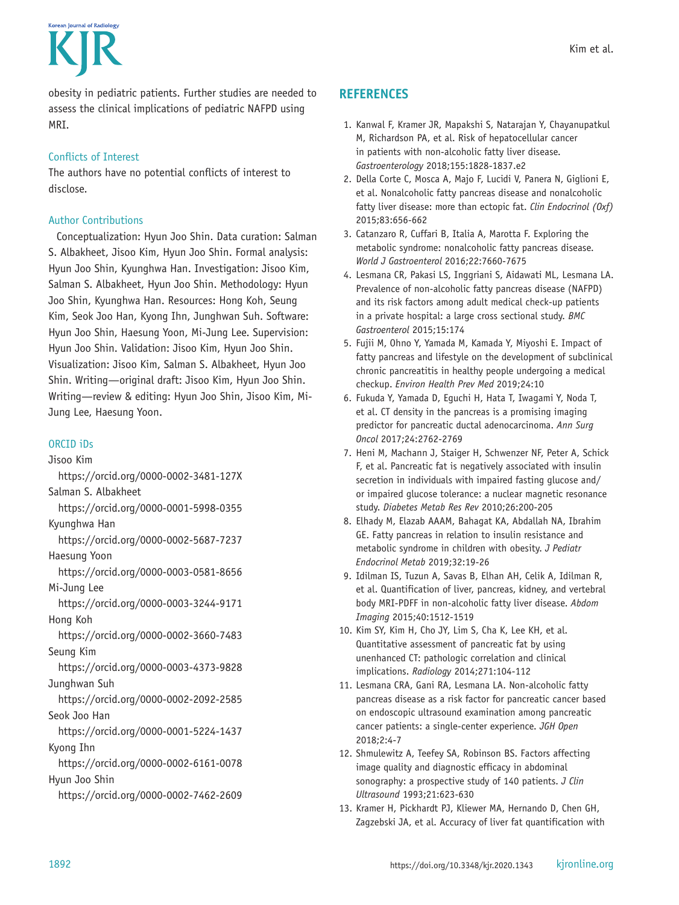Kim et al.



obesity in pediatric patients. Further studies are needed to assess the clinical implications of pediatric NAFPD using MRI.

# Conflicts of Interest

The authors have no potential conflicts of interest to disclose.

# Author Contributions

Conceptualization: Hyun Joo Shin. Data curation: Salman S. Albakheet, Jisoo Kim, Hyun Joo Shin. Formal analysis: Hyun Joo Shin, Kyunghwa Han. Investigation: Jisoo Kim, Salman S. Albakheet, Hyun Joo Shin. Methodology: Hyun Joo Shin, Kyunghwa Han. Resources: Hong Koh, Seung Kim, Seok Joo Han, Kyong Ihn, Junghwan Suh. Software: Hyun Joo Shin, Haesung Yoon, Mi-Jung Lee. Supervision: Hyun Joo Shin. Validation: Jisoo Kim, Hyun Joo Shin. Visualization: Jisoo Kim, Salman S. Albakheet, Hyun Joo Shin. Writing—original draft: Jisoo Kim, Hyun Joo Shin. Writing—review & editing: Hyun Joo Shin, Jisoo Kim, Mi-Jung Lee, Haesung Yoon.

# ORCID iDs

Jisoo Kim

- https://orcid.org/0000-0002-3481-127X
- Salman S. Albakheet
- https://orcid.org/0000-0001-5998-0355

Kyunghwa Han

https://orcid.org/0000-0002-5687-7237

Haesung Yoon

- https://orcid.org/0000-0003-0581-8656
- Mi-Jung Lee
- https://orcid.org/0000-0003-3244-9171 Hong Koh

https://orcid.org/0000-0002-3660-7483 Seung Kim

https://orcid.org/0000-0003-4373-9828 Junghwan Suh

https://orcid.org/0000-0002-2092-2585

Seok Joo Han

https://orcid.org/0000-0001-5224-1437 Kyong Ihn

https://orcid.org/0000-0002-6161-0078 Hyun Joo Shin

https://orcid.org/0000-0002-7462-2609

# **REFERENCES**

- 1. Kanwal F, Kramer JR, Mapakshi S, Natarajan Y, Chayanupatkul M, Richardson PA, et al. Risk of hepatocellular cancer in patients with non-alcoholic fatty liver disease. *Gastroenterology* 2018;155:1828-1837.e2
- 2. Della Corte C, Mosca A, Majo F, Lucidi V, Panera N, Giglioni E, et al. Nonalcoholic fatty pancreas disease and nonalcoholic fatty liver disease: more than ectopic fat. *Clin Endocrinol (Oxf)*  2015;83:656-662
- 3. Catanzaro R, Cuffari B, Italia A, Marotta F. Exploring the metabolic syndrome: nonalcoholic fatty pancreas disease. *World J Gastroenterol* 2016;22:7660-7675
- 4. Lesmana CR, Pakasi LS, Inggriani S, Aidawati ML, Lesmana LA. Prevalence of non-alcoholic fatty pancreas disease (NAFPD) and its risk factors among adult medical check-up patients in a private hospital: a large cross sectional study. *BMC Gastroenterol* 2015;15:174
- 5. Fujii M, Ohno Y, Yamada M, Kamada Y, Miyoshi E. Impact of fatty pancreas and lifestyle on the development of subclinical chronic pancreatitis in healthy people undergoing a medical checkup. *Environ Health Prev Med* 2019;24:10
- 6. Fukuda Y, Yamada D, Eguchi H, Hata T, Iwagami Y, Noda T, et al. CT density in the pancreas is a promising imaging predictor for pancreatic ductal adenocarcinoma. *Ann Surg Oncol* 2017;24:2762-2769
- 7. Heni M, Machann J, Staiger H, Schwenzer NF, Peter A, Schick F, et al. Pancreatic fat is negatively associated with insulin secretion in individuals with impaired fasting glucose and/ or impaired glucose tolerance: a nuclear magnetic resonance study. *Diabetes Metab Res Rev* 2010;26:200-205
- 8. Elhady M, Elazab AAAM, Bahagat KA, Abdallah NA, Ibrahim GE. Fatty pancreas in relation to insulin resistance and metabolic syndrome in children with obesity. *J Pediatr Endocrinol Metab* 2019;32:19-26
- 9. Idilman IS, Tuzun A, Savas B, Elhan AH, Celik A, Idilman R, et al. Quantification of liver, pancreas, kidney, and vertebral body MRI-PDFF in non-alcoholic fatty liver disease. *Abdom Imaging* 2015;40:1512-1519
- 10. Kim SY, Kim H, Cho JY, Lim S, Cha K, Lee KH, et al. Quantitative assessment of pancreatic fat by using unenhanced CT: pathologic correlation and clinical implications. *Radiology* 2014;271:104-112
- 11. Lesmana CRA, Gani RA, Lesmana LA. Non-alcoholic fatty pancreas disease as a risk factor for pancreatic cancer based on endoscopic ultrasound examination among pancreatic cancer patients: a single-center experience. *JGH Open* 2018;2:4-7
- 12. Shmulewitz A, Teefey SA, Robinson BS. Factors affecting image quality and diagnostic efficacy in abdominal sonography: a prospective study of 140 patients. *J Clin Ultrasound* 1993;21:623-630
- 13. Kramer H, Pickhardt PJ, Kliewer MA, Hernando D, Chen GH, Zagzebski JA, et al. Accuracy of liver fat quantification with